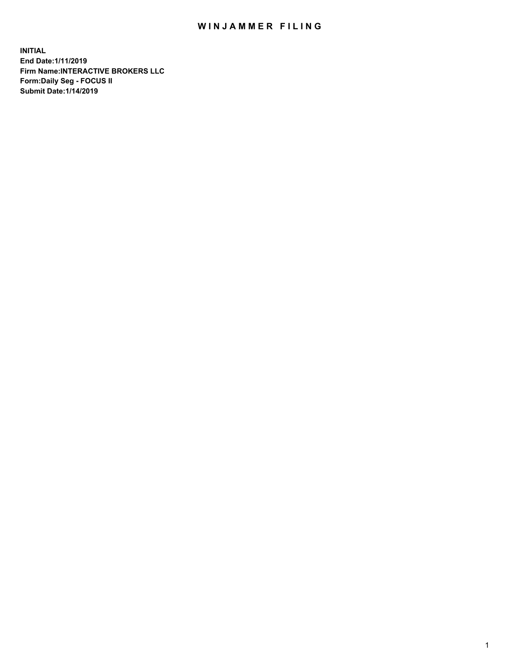## WIN JAMMER FILING

**INITIAL End Date:1/11/2019 Firm Name:INTERACTIVE BROKERS LLC Form:Daily Seg - FOCUS II Submit Date:1/14/2019**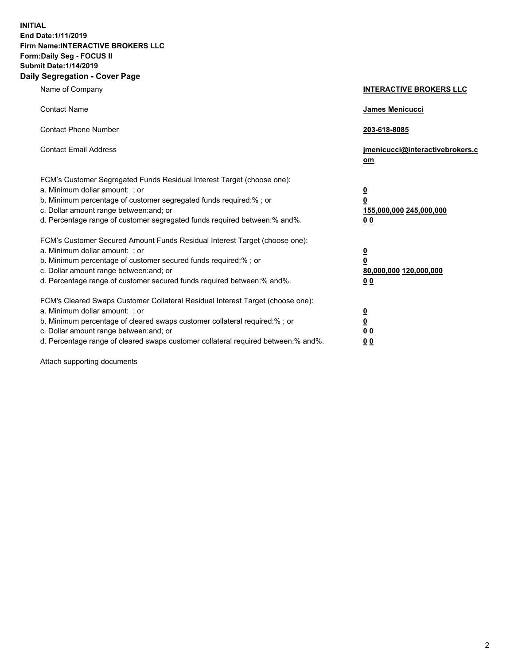**INITIAL End Date:1/11/2019 Firm Name:INTERACTIVE BROKERS LLC Form:Daily Seg - FOCUS II Submit Date:1/14/2019 Daily Segregation - Cover Page**

| Name of Company                                                                                                                                                                                                                                                                                                                | <b>INTERACTIVE BROKERS LLC</b>                                                                  |
|--------------------------------------------------------------------------------------------------------------------------------------------------------------------------------------------------------------------------------------------------------------------------------------------------------------------------------|-------------------------------------------------------------------------------------------------|
| <b>Contact Name</b>                                                                                                                                                                                                                                                                                                            | James Menicucci                                                                                 |
| <b>Contact Phone Number</b>                                                                                                                                                                                                                                                                                                    | 203-618-8085                                                                                    |
| <b>Contact Email Address</b>                                                                                                                                                                                                                                                                                                   | jmenicucci@interactivebrokers.c<br>om                                                           |
| FCM's Customer Segregated Funds Residual Interest Target (choose one):<br>a. Minimum dollar amount: ; or<br>b. Minimum percentage of customer segregated funds required:% ; or<br>c. Dollar amount range between: and; or<br>d. Percentage range of customer segregated funds required between:% and%.                         | $\overline{\mathbf{0}}$<br>$\overline{\mathbf{0}}$<br>155,000,000 245,000,000<br>0 <sub>0</sub> |
| FCM's Customer Secured Amount Funds Residual Interest Target (choose one):<br>a. Minimum dollar amount: ; or<br>b. Minimum percentage of customer secured funds required:%; or<br>c. Dollar amount range between: and; or<br>d. Percentage range of customer secured funds required between:% and%.                            | $\overline{\mathbf{0}}$<br>$\overline{\mathbf{0}}$<br>80,000,000 120,000,000<br>00              |
| FCM's Cleared Swaps Customer Collateral Residual Interest Target (choose one):<br>a. Minimum dollar amount: ; or<br>b. Minimum percentage of cleared swaps customer collateral required:% ; or<br>c. Dollar amount range between: and; or<br>d. Percentage range of cleared swaps customer collateral required between:% and%. | $\overline{\mathbf{0}}$<br>$\underline{\mathbf{0}}$<br>0 <sub>0</sub><br>0 <sub>0</sub>         |

Attach supporting documents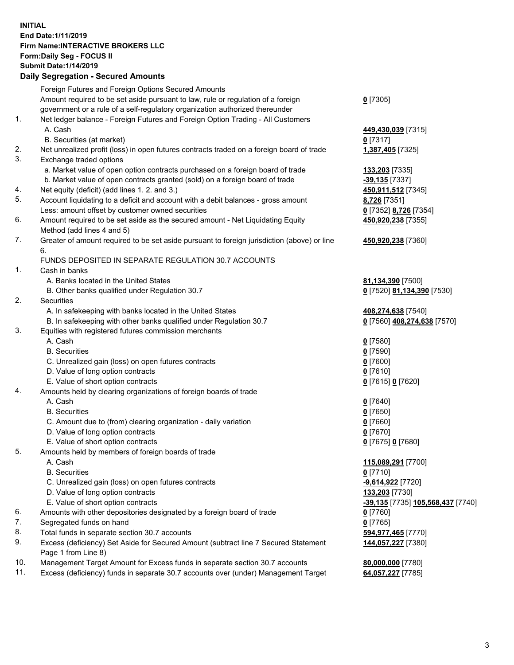## **INITIAL End Date:1/11/2019 Firm Name:INTERACTIVE BROKERS LLC Form:Daily Seg - FOCUS II Submit Date:1/14/2019 Daily Segregation - Secured Amounts**

|     | Daily Segregation - Secured Aniounts                                                                       |                                                              |
|-----|------------------------------------------------------------------------------------------------------------|--------------------------------------------------------------|
|     | Foreign Futures and Foreign Options Secured Amounts                                                        |                                                              |
|     | Amount required to be set aside pursuant to law, rule or regulation of a foreign                           | $0$ [7305]                                                   |
|     | government or a rule of a self-regulatory organization authorized thereunder                               |                                                              |
| 1.  | Net ledger balance - Foreign Futures and Foreign Option Trading - All Customers                            |                                                              |
|     | A. Cash                                                                                                    | 449,430,039 [7315]                                           |
|     | B. Securities (at market)                                                                                  | 0 [7317]                                                     |
| 2.  | Net unrealized profit (loss) in open futures contracts traded on a foreign board of trade                  | 1,387,405 [7325]                                             |
| 3.  | Exchange traded options                                                                                    |                                                              |
|     | a. Market value of open option contracts purchased on a foreign board of trade                             | 133,203 [7335]                                               |
|     | b. Market value of open contracts granted (sold) on a foreign board of trade                               | $-39,135$ [7337]                                             |
| 4.  | Net equity (deficit) (add lines 1.2. and 3.)                                                               | 450,911,512 [7345]                                           |
| 5.  | Account liquidating to a deficit and account with a debit balances - gross amount                          | 8,726 [7351]                                                 |
|     | Less: amount offset by customer owned securities                                                           | 0 [7352] 8,726 [7354]                                        |
| 6.  | Amount required to be set aside as the secured amount - Net Liquidating Equity                             | 450,920,238 [7355]                                           |
|     | Method (add lines 4 and 5)                                                                                 |                                                              |
| 7.  | Greater of amount required to be set aside pursuant to foreign jurisdiction (above) or line                | 450,920,238 [7360]                                           |
|     | 6.                                                                                                         |                                                              |
|     | FUNDS DEPOSITED IN SEPARATE REGULATION 30.7 ACCOUNTS                                                       |                                                              |
| 1.  | Cash in banks                                                                                              |                                                              |
|     | A. Banks located in the United States                                                                      | 81,134,390 [7500]                                            |
|     | B. Other banks qualified under Regulation 30.7                                                             | 0 [7520] 81,134,390 [7530]                                   |
| 2.  | Securities                                                                                                 |                                                              |
|     | A. In safekeeping with banks located in the United States                                                  | 408,274,638 [7540]                                           |
|     | B. In safekeeping with other banks qualified under Regulation 30.7                                         | 0 [7560] 408,274,638 [7570]                                  |
| 3.  | Equities with registered futures commission merchants                                                      |                                                              |
|     | A. Cash                                                                                                    | $0$ [7580]                                                   |
|     | <b>B.</b> Securities                                                                                       | $0$ [7590]                                                   |
|     | C. Unrealized gain (loss) on open futures contracts                                                        | $0$ [7600]                                                   |
|     | D. Value of long option contracts                                                                          | $0$ [7610]                                                   |
|     | E. Value of short option contracts                                                                         | 0 [7615] 0 [7620]                                            |
| 4.  | Amounts held by clearing organizations of foreign boards of trade                                          |                                                              |
|     | A. Cash                                                                                                    | $Q$ [7640]                                                   |
|     | <b>B.</b> Securities                                                                                       | $0$ [7650]                                                   |
|     | C. Amount due to (from) clearing organization - daily variation                                            | $0$ [7660]                                                   |
|     | D. Value of long option contracts                                                                          | $0$ [7670]                                                   |
|     | E. Value of short option contracts                                                                         | 0 [7675] 0 [7680]                                            |
| 5.  | Amounts held by members of foreign boards of trade                                                         |                                                              |
|     | A. Cash                                                                                                    | 115,089,291 [7700]                                           |
|     | <b>B.</b> Securities                                                                                       | $0$ [7710]                                                   |
|     | C. Unrealized gain (loss) on open futures contracts                                                        | -9,614,922 [7720]                                            |
|     | D. Value of long option contracts                                                                          | 133,203 [7730]                                               |
|     | E. Value of short option contracts                                                                         | <mark>-39,135</mark> [7735] <b><u>105,568,437</u> [7740]</b> |
| 6.  | Amounts with other depositories designated by a foreign board of trade                                     | $0$ [7760]                                                   |
| 7.  | Segregated funds on hand                                                                                   | $0$ [7765]                                                   |
| 8.  | Total funds in separate section 30.7 accounts                                                              | 594,977,465 [7770]                                           |
| 9.  | Excess (deficiency) Set Aside for Secured Amount (subtract line 7 Secured Statement<br>Page 1 from Line 8) | 144,057,227 [7380]                                           |
| 10. | Management Target Amount for Excess funds in separate section 30.7 accounts                                | 80,000,000 [7780]                                            |
| 11. | Excess (deficiency) funds in separate 30.7 accounts over (under) Management Target                         | 64,057,227 [7785]                                            |
|     |                                                                                                            |                                                              |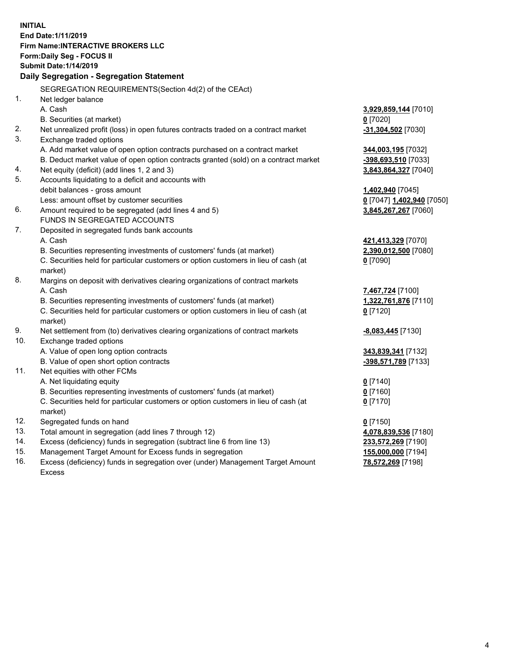**INITIAL End Date:1/11/2019 Firm Name:INTERACTIVE BROKERS LLC Form:Daily Seg - FOCUS II Submit Date:1/14/2019 Daily Segregation - Segregation Statement** SEGREGATION REQUIREMENTS(Section 4d(2) of the CEAct) 1. Net ledger balance A. Cash **3,929,859,144** [7010] B. Securities (at market) **0** [7020] 2. Net unrealized profit (loss) in open futures contracts traded on a contract market **-31,304,502** [7030] 3. Exchange traded options A. Add market value of open option contracts purchased on a contract market **344,003,195** [7032] B. Deduct market value of open option contracts granted (sold) on a contract market **-398,693,510** [7033] 4. Net equity (deficit) (add lines 1, 2 and 3) **3,843,864,327** [7040] 5. Accounts liquidating to a deficit and accounts with debit balances - gross amount **1,402,940** [7045] Less: amount offset by customer securities **0** [7047] **1,402,940** [7050] 6. Amount required to be segregated (add lines 4 and 5) **3,845,267,267** [7060] FUNDS IN SEGREGATED ACCOUNTS 7. Deposited in segregated funds bank accounts A. Cash **421,413,329** [7070] B. Securities representing investments of customers' funds (at market) **2,390,012,500** [7080] C. Securities held for particular customers or option customers in lieu of cash (at market) **0** [7090] 8. Margins on deposit with derivatives clearing organizations of contract markets A. Cash **7,467,724** [7100] B. Securities representing investments of customers' funds (at market) **1,322,761,876** [7110] C. Securities held for particular customers or option customers in lieu of cash (at market) **0** [7120] 9. Net settlement from (to) derivatives clearing organizations of contract markets **-8,083,445** [7130] 10. Exchange traded options A. Value of open long option contracts **343,839,341** [7132] B. Value of open short option contracts **-398,571,789** [7133] 11. Net equities with other FCMs A. Net liquidating equity **0** [7140] B. Securities representing investments of customers' funds (at market) **0** [7160] C. Securities held for particular customers or option customers in lieu of cash (at market) **0** [7170] 12. Segregated funds on hand **0** [7150] 13. Total amount in segregation (add lines 7 through 12) **4,078,839,536** [7180] 14. Excess (deficiency) funds in segregation (subtract line 6 from line 13) **233,572,269** [7190] 15. Management Target Amount for Excess funds in segregation **155,000,000** [7194] **78,572,269** [7198]

16. Excess (deficiency) funds in segregation over (under) Management Target Amount Excess